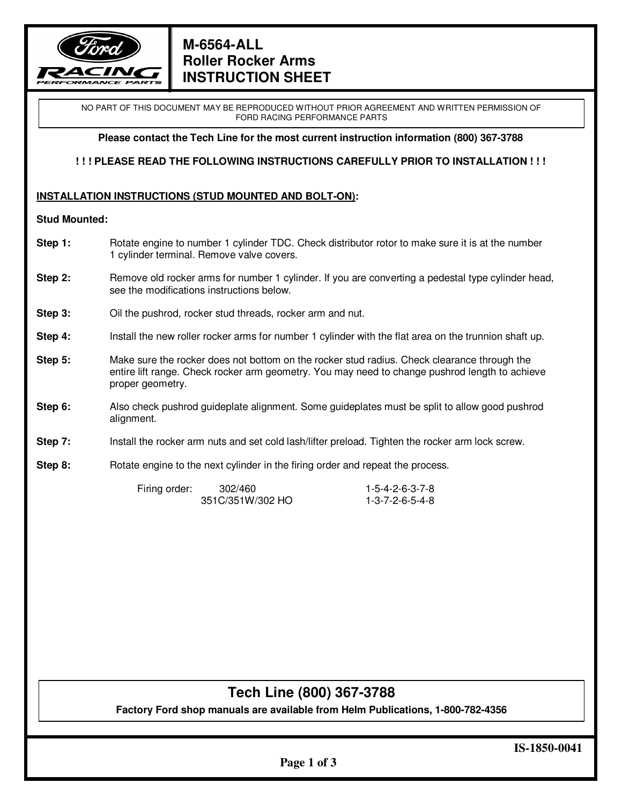

### **M-6564-ALL Roller Rocker Arms INSTRUCTION SHEET**

NO PART OF THIS DOCUMENT MAY BE REPRODUCED WITHOUT PRIOR AGREEMENT AND WRITTEN PERMISSION OF FORD RACING PERFORMANCE PARTS

**Please contact the Tech Line for the most current instruction information (800) 367-3788** 

**! ! ! PLEASE READ THE FOLLOWING INSTRUCTIONS CAREFULLY PRIOR TO INSTALLATION ! ! !** 

#### **INSTALLATION INSTRUCTIONS (STUD MOUNTED AND BOLT-ON):**

#### **Stud Mounted:**

- **Step 1:** Rotate engine to number 1 cylinder TDC. Check distributor rotor to make sure it is at the number 1 cylinder terminal. Remove valve covers.
- **Step 2:** Remove old rocker arms for number 1 cylinder. If you are converting a pedestal type cylinder head, see the modifications instructions below.
- **Step 3:** Oil the pushrod, rocker stud threads, rocker arm and nut.
- **Step 4:** Install the new roller rocker arms for number 1 cylinder with the flat area on the trunnion shaft up.
- **Step 5:** Make sure the rocker does not bottom on the rocker stud radius. Check clearance through the entire lift range. Check rocker arm geometry. You may need to change pushrod length to achieve proper geometry.
- **Step 6:** Also check pushrod guideplate alignment. Some guideplates must be split to allow good pushrod alignment.
- **Step 7:** Install the rocker arm nuts and set cold lash/lifter preload. Tighten the rocker arm lock screw.
- **Step 8:** Rotate engine to the next cylinder in the firing order and repeat the process.

| Firing order: | 302/460          | 1-5-4-2-6-3-7-8 |
|---------------|------------------|-----------------|
|               | 351C/351W/302 HO | 1-3-7-2-6-5-4-8 |

## **Tech Line (800) 367-3788**

**Factory Ford shop manuals are available from Helm Publications, 1-800-782-4356**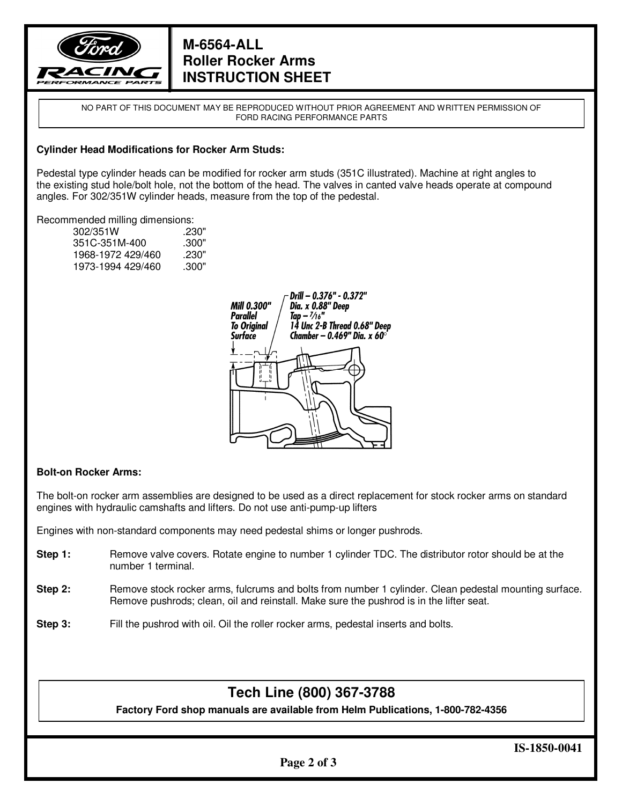

### **M-6564-ALL Roller Rocker Arms INSTRUCTION SHEET**

NO PART OF THIS DOCUMENT MAY BE REPRODUCED WITHOUT PRIOR AGREEMENT AND WRITTEN PERMISSION OF FORD RACING PERFORMANCE PARTS

#### **Cylinder Head Modifications for Rocker Arm Studs:**

Pedestal type cylinder heads can be modified for rocker arm studs (351C illustrated). Machine at right angles to the existing stud hole/bolt hole, not the bottom of the head. The valves in canted valve heads operate at compound angles. For 302/351W cylinder heads, measure from the top of the pedestal.

#### Recommended milling dimensions:

| 302/351W          | .230" |
|-------------------|-------|
| 351C-351M-400     | .300" |
| 1968-1972 429/460 | .230" |
| 1973-1994 429/460 | .300" |



#### **Bolt-on Rocker Arms:**

The bolt-on rocker arm assemblies are designed to be used as a direct replacement for stock rocker arms on standard engines with hydraulic camshafts and lifters. Do not use anti-pump-up lifters

Engines with non-standard components may need pedestal shims or longer pushrods.

- **Step 1:** Remove valve covers. Rotate engine to number 1 cylinder TDC. The distributor rotor should be at the number 1 terminal.
- **Step 2:** Remove stock rocker arms, fulcrums and bolts from number 1 cylinder. Clean pedestal mounting surface. Remove pushrods; clean, oil and reinstall. Make sure the pushrod is in the lifter seat.
- **Step 3:** Fill the pushrod with oil. Oil the roller rocker arms, pedestal inserts and bolts.

# **Tech Line (800) 367-3788**

**Factory Ford shop manuals are available from Helm Publications, 1-800-782-4356**